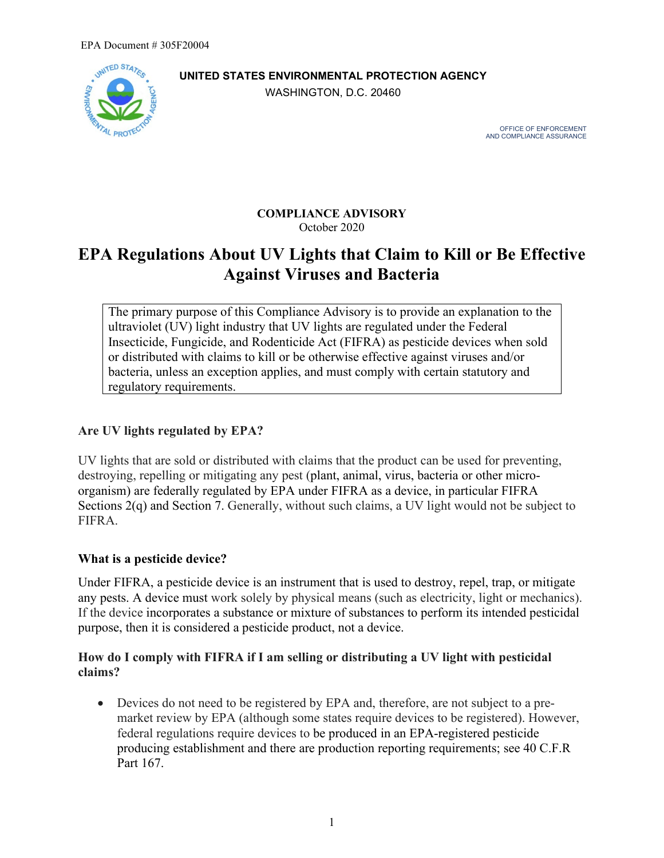

**UNITED STATES ENVIRONMENTAL PROTECTION AGENCY**

WASHINGTON, D.C. 20460

 OFFICE OF ENFORCEMENT AND COMPLIANCE ASSURANCE

#### **COMPLIANCE ADVISORY** October 2020

# **EPA Regulations About UV Lights that Claim to Kill or Be Effective Against Viruses and Bacteria**

The primary purpose of this Compliance Advisory is to provide an explanation to the ultraviolet (UV) light industry that UV lights are regulated under the Federal Insecticide, Fungicide, and Rodenticide Act (FIFRA) as pesticide devices when sold or distributed with claims to kill or be otherwise effective against viruses and/or bacteria, unless an exception applies, and must comply with certain statutory and regulatory requirements.

## **Are UV lights regulated by EPA?**

UV lights that are sold or distributed with claims that the product can be used for preventing, destroying, repelling or mitigating any pest (plant, animal, virus, bacteria or other microorganism) are federally regulated by EPA under FIFRA as a device, in particular FIFRA Sections 2(q) and Section 7. Generally, without such claims, a UV light would not be subject to FIFRA.

## **What is a pesticide device?**

Under FIFRA, a pesticide device is an instrument that is used to destroy, repel, trap, or mitigate any pests. A device must work solely by physical means (such as electricity, light or mechanics). If the device incorporates a substance or mixture of substances to perform its intended pesticidal purpose, then it is considered a pesticide product, not a device.

### **How do I comply with FIFRA if I am selling or distributing a UV light with pesticidal claims?**

• Devices do not need to be registered by EPA and, therefore, are not subject to a premarket review by EPA (although some states require devices to be registered). However, federal regulations require devices to be produced in an EPA-registered pesticide producing establishment and there are production reporting requirements; see 40 C.F.R Part 167.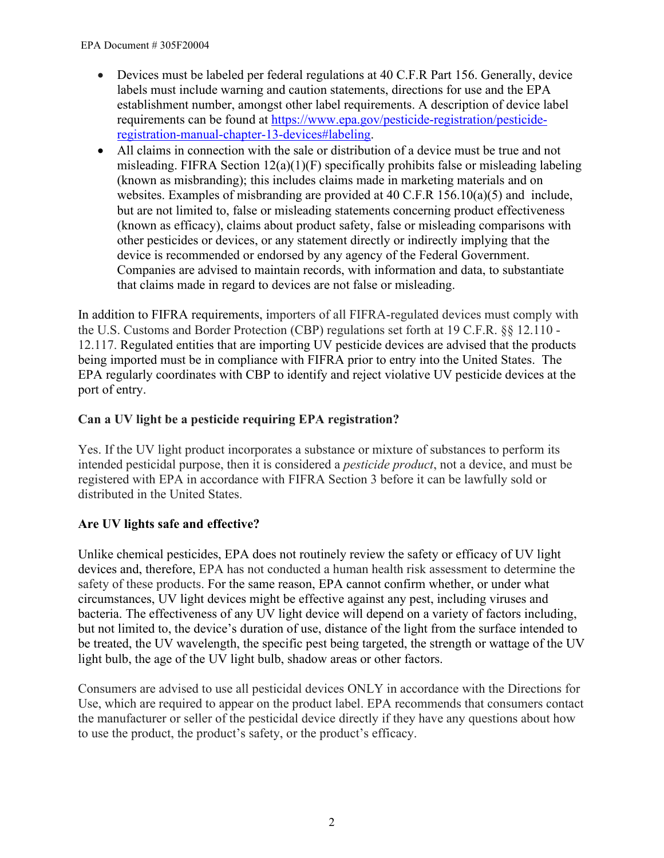- Devices must be labeled per federal regulations at 40 C.F.R Part 156. Generally, device labels must include warning and caution statements, directions for use and the EPA establishment number, amongst other label requirements. A description of device label requirements can be found at [https://www.epa.gov/pesticide-registration/pesticide](https://www.epa.gov/pesticide-registration/pesticide-registration-manual-chapter-13-devices#labeling)[registration-manual-chapter-13-devices#labeling.](https://www.epa.gov/pesticide-registration/pesticide-registration-manual-chapter-13-devices#labeling)
- All claims in connection with the sale or distribution of a device must be true and not misleading. FIFRA Section 12(a)(1)(F) specifically prohibits false or misleading labeling (known as misbranding); this includes claims made in marketing materials and on websites. Examples of misbranding are provided at 40 C.F.R 156.10(a)(5) and include, but are not limited to, false or misleading statements concerning product effectiveness (known as efficacy), claims about product safety, false or misleading comparisons with other pesticides or devices, or any statement directly or indirectly implying that the device is recommended or endorsed by any agency of the Federal Government. Companies are advised to maintain records, with information and data, to substantiate that claims made in regard to devices are not false or misleading.

In addition to FIFRA requirements, importers of all FIFRA-regulated devices must comply with the U.S. Customs and Border Protection (CBP) regulations set forth at 19 C.F.R. §§ 12.110 - 12.117. Regulated entities that are importing UV pesticide devices are advised that the products being imported must be in compliance with FIFRA prior to entry into the United States. The EPA regularly coordinates with CBP to identify and reject violative UV pesticide devices at the port of entry.

## **Can a UV light be a pesticide requiring EPA registration?**

Yes. If the UV light product incorporates a substance or mixture of substances to perform its intended pesticidal purpose, then it is considered a *pesticide product*, not a device, and must be registered with EPA in accordance with FIFRA Section 3 before it can be lawfully sold or distributed in the United States.

## **Are UV lights safe and effective?**

Unlike chemical pesticides, EPA does not routinely review the safety or efficacy of UV light devices and, therefore, EPA has not conducted a human health risk assessment to determine the safety of these products. For the same reason, EPA cannot confirm whether, or under what circumstances, UV light devices might be effective against any pest, including viruses and bacteria. The effectiveness of any UV light device will depend on a variety of factors including, but not limited to, the device's duration of use, distance of the light from the surface intended to be treated, the UV wavelength, the specific pest being targeted, the strength or wattage of the UV light bulb, the age of the UV light bulb, shadow areas or other factors.

Consumers are advised to use all pesticidal devices ONLY in accordance with the Directions for Use, which are required to appear on the product label. EPA recommends that consumers contact the manufacturer or seller of the pesticidal device directly if they have any questions about how to use the product, the product's safety, or the product's efficacy.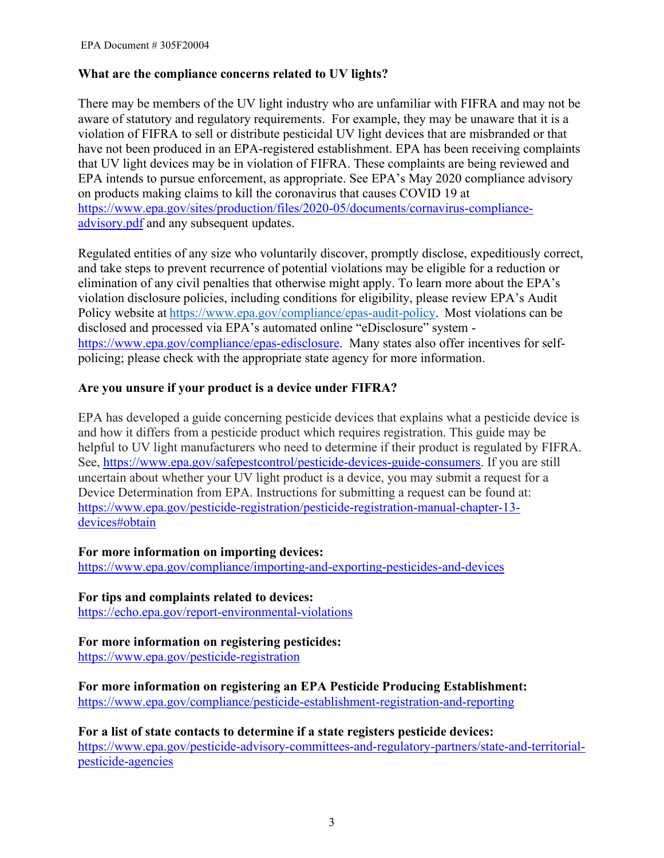#### **What are the compliance concerns related to UV lights?**

There may be members of the UV light industry who are unfamiliar with FIFRA and may not be aware of statutory and regulatory requirements. For example, they may be unaware that it is a violation of FIFRA to sell or distribute pesticidal UV light devices that are misbranded or that have not been produced in an EPA-registered establishment. EPA has been receiving complaints that UV light devices may be in violation of FIFRA. These complaints are being reviewed and EPA intends to pursue enforcement, as appropriate. See EPA's May 2020 compliance advisory on products making claims to kill the coronavirus that causes COVID 19 at [https://www.epa.gov/sites/production/files/2020-05/documents/cornavirus-compliance](https://www.epa.gov/sites/production/files/2020-05/documents/cornavirus-compliance-advisory.pdf)[advisory.pdf](https://www.epa.gov/sites/production/files/2020-05/documents/cornavirus-compliance-advisory.pdf) and any subsequent updates.

Regulated entities of any size who voluntarily discover, promptly disclose, expeditiously correct, and take steps to prevent recurrence of potential violations may be eligible for a reduction or elimination of any civil penalties that otherwise might apply. To learn more about the EPA's violation disclosure policies, including conditions for eligibility, please review EPA's Audit Policy website at <https://www.epa.gov/compliance/epas-audit-policy>.  Most violations can be disclosed and processed via EPA's automated online "eDisclosure" system [https://www.epa.gov/compliance/epas-edisclosure.](https://www.epa.gov/compliance/epas-edisclosure) Many states also offer incentives for selfpolicing; please check with the appropriate state agency for more information.

#### **Are you unsure if your product is a device under FIFRA?**

EPA has developed a guide concerning pesticide devices that explains what a pesticide device is and how it differs from a pesticide product which requires registration. This guide may be helpful to UV light manufacturers who need to determine if their product is regulated by FIFRA. See, [https://www.epa.gov/safepestcontrol/pesticide-devices-guide-consumers.](https://www.epa.gov/safepestcontrol/pesticide-devices-guide-consumers) If you are still uncertain about whether your UV light product is a device, you may submit a request for a Device Determination from EPA. Instructions for submitting a request can be found at: [https://www.epa.gov/pesticide-registration/pesticide-registration-manual-chapter-13](https://www.epa.gov/pesticide-registration/pesticide-registration-manual-chapter-13-devices#obtain) [devices#obtain](https://www.epa.gov/pesticide-registration/pesticide-registration-manual-chapter-13-devices#obtain)

#### **For more information on importing devices:**

<https://www.epa.gov/compliance/importing-and-exporting-pesticides-and-devices>

**For tips and complaints related to devices:**  <https://echo.epa.gov/report-environmental-violations>

#### **For more information on registering pesticides:**

<https://www.epa.gov/pesticide-registration>

**For more information on registering an EPA Pesticide Producing Establishment:** <https://www.epa.gov/compliance/pesticide-establishment-registration-and-reporting>

**For a list of state contacts to determine if a state registers pesticide devices:** [https://www.epa.gov/pesticide-advisory-committees-and-regulatory-partners/state-and-territorial](https://www.epa.gov/pesticide-advisory-committees-and-regulatory-partners/state-and-territorial-pesticide-agencies)[pesticide-agencies](https://www.epa.gov/pesticide-advisory-committees-and-regulatory-partners/state-and-territorial-pesticide-agencies)